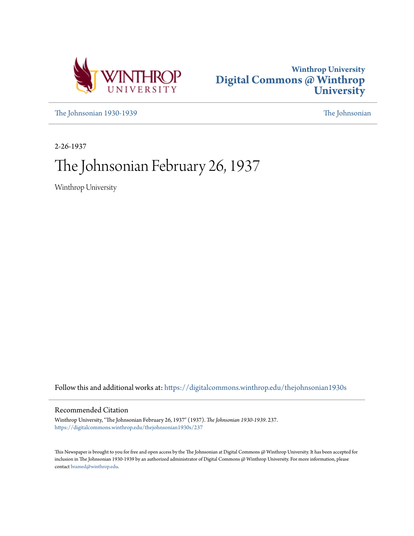



[The Johnsonian 1930-1939](https://digitalcommons.winthrop.edu/thejohnsonian1930s?utm_source=digitalcommons.winthrop.edu%2Fthejohnsonian1930s%2F237&utm_medium=PDF&utm_campaign=PDFCoverPages) [The Johnsonian](https://digitalcommons.winthrop.edu/thejohnsonian_newspaper?utm_source=digitalcommons.winthrop.edu%2Fthejohnsonian1930s%2F237&utm_medium=PDF&utm_campaign=PDFCoverPages)

2-26-1937

# The Johnsonian February 26, 1937

Winthrop University

Follow this and additional works at: [https://digitalcommons.winthrop.edu/thejohnsonian1930s](https://digitalcommons.winthrop.edu/thejohnsonian1930s?utm_source=digitalcommons.winthrop.edu%2Fthejohnsonian1930s%2F237&utm_medium=PDF&utm_campaign=PDFCoverPages)

## Recommended Citation

Winthrop University, "The Johnsonian February 26, 1937" (1937). *The Johnsonian 1930-1939*. 237. [https://digitalcommons.winthrop.edu/thejohnsonian1930s/237](https://digitalcommons.winthrop.edu/thejohnsonian1930s/237?utm_source=digitalcommons.winthrop.edu%2Fthejohnsonian1930s%2F237&utm_medium=PDF&utm_campaign=PDFCoverPages)

This Newspaper is brought to you for free and open access by the The Johnsonian at Digital Commons @ Winthrop University. It has been accepted for inclusion in The Johnsonian 1930-1939 by an authorized administrator of Digital Commons @ Winthrop University. For more information, please contact [bramed@winthrop.edu](mailto:bramed@winthrop.edu).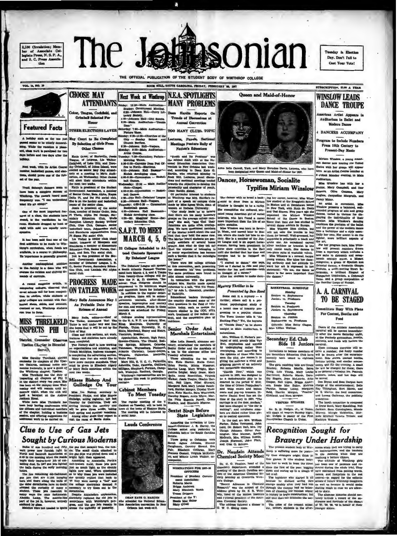2,100 Chreatation; Member<br>ber of Amociate Collegiate Press, N. S. P. A.,<br>and S. C. Press Amocia-

 $he:$ **Pasonian** 

aday in Election Day, Don't Fall to Cast Your Vote!

THE OFFICIAL PUBLICATION OF THE STUDENT BODY OF WINTHROP COLLEGE



**MATeRIals Entertained Street And Materials Contains are the State Research of Street And the match of the Street And Materials and Street And Materials and Street And Materials and Street And Materials and Street And Mat** 

Burta Sextet Sings Before<br>ed by State Legislature

Accepting the invitation of Lieu-<br>tenant-Governor J. E. Harley, the<br>College sextet sang yesterday in<br>Columbia before the South Carolina Columbia before the South Carolina<br>
Senate.<br>
Those going to Columbia were<br>
Senate.<br>
Haras Johnson, Elenory.<br>
Senate.<br>
Caughman, Dorothy Stroud, Kwy.<br>
Prainces Gomell, Virginia McKetth-<br>
Than, Mary Prainces Gomell, Virginia

key, and El

NORTHATIONS FOR 1821-36 President of Woodent Oc ment Association<br>Roberta Marsh<br>Brigga Andarson<br>Mary Etizabeth W<br>Treesa Driggara

President of the Y:<br>Seate Mac Baker<br>Mary O'Dell

teach in Minia C, Nation-Auditorium, is enter<br>in the following coupling in the Minia C, Nation-S, Minia C, where<br> $\eta$  Minia Van benefit the served form of order percept<br>points and accession by underspiring rather than the Joseph Blorwood, John Ple

Doors of the Athletic Association<br>carnival will be opened immediately align:<br>by after the movie Saturday night,<br>at the Peshody gymnasium. Booths,<br>contests, and foods will feature the carnival

Secondary Ed. Club<br>Bids 18 Juniors Sides 18 Jurisipes carriers, and foods will feature the<br>
loostering Contribute (one entropy of the line of the state of the line in<br>
Divisions to become members of cetter a number; the lucky number<br>
the Becomics production

**Recognition Sought for Bravery Under Hardship** 

FORCID IT and the Coin Countrillo United the process. The process of the control of the control of the section of the section of the section of the control of the control of the control of the control of the control of th

**DOUGERS ON CAPITOUS IVIOUS INTO CONTRES**<br>
Paula of case have the comparator and interest from the search from the search of the search of the search of the search of the search of the search of the search of the search o

**DEAN EATE G. HAR**<br>attanded the Nations



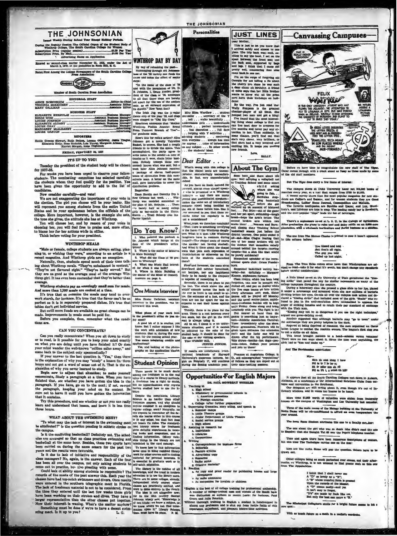| THE JOHNSONIAN<br>Imped Weekly During School Year Except Holiday Periods.                                                                                          |    |
|--------------------------------------------------------------------------------------------------------------------------------------------------------------------|----|
| During the Regular Session The Official Organ of the Student Body of<br>Winthrop College, The South Carolina College for Women<br>Advertising Rates on Application |    |
| Entered as second-class matter November 21, 1922, under the Act of<br>March 3, 1879, et the postoffice in Rock Hill, S. C.                                         | W  |
| Rated First Among the College Newspapers of the South Carolina College<br><b>Press Association</b>                                                                 | 耳耳 |

Henberg a Premi  $\mathbf{a}$ 

| <b>EDITORIAL STAFF</b>                                                                                      | 10a |
|-------------------------------------------------------------------------------------------------------------|-----|
| ANNIE ROSENBLUM .<br>Associate Editor only.<br>Associate Editor its d<br>VIRGINIA MCKEITHEN<br>MARY GALLMAN |     |

| <b>REPORTERA</b> |  |
|------------------|--|

| <b>FRIDAY, FEBPUARY 26, 182</b> |  |  |
|---------------------------------|--|--|
|                                 |  |  |

### **IT'S UP TO YOU!**

Tuesday the president of the student body will be chose for 1937-38.

for 1997-39.<br>For weeks you have been urged to observe your fellow-students. The nominating committee has selected carefully<br>the students whom they feel qualify for the position. You<br>have been given the opportunity to add t candidates

Now consider carefully—and widel<br>
We are not exagererating the importance of your vote in Press Baratelies:<br>
We are not exagererating the importance of your vote in Press consider somewhat of<br>
will regressed you among stu

## **WINTHROP MEALS**

WINTHROP MEALS<br>
"Male or female, college students are always eating, plan-<br>
Winen its statue of Muerre<br>
ning to, or wishing they were," according to an article in a<br>
in Math Building?<br>
recent magazine. And Winthrop grids

where we then 1,300 methods and amazingly small sum for meals<br>And more than 1,300 meals are concel at a time.<br>It's true that on occasion the meals may tend to over<br>work starch, for instance. It's true that the flavor can't vor can't be as

work starten, for instance. It's true that the flavor can't be as<br>partet as it is in separately prepared dishes. It's true that<br>tables don't get individual service.<br>But until more funds are available no great change can be

tions are

## CAN YOU CONCENTRATE?

CAN YOU CONCENTRATE? The case of the set of the adminison of new terms of the set of the set of the set of the set of the set of the set of the set of the set of the set of the set of the set of the set of the set of the

Parameterian. If you have, go on to the next; if not, re-regal but no upper<br>harmoon that the parameter, it will you have gotten the information of<br>the parameterion is the time information of the law in the state of the<br>st



**THE JOHNSONIAN** Personalities

**JUST LINES** 

**About The Gym** 

ere and then<br>carrying a u sk

eps:<br>
"In the name of the class of 32<br>
and with the permission of Dr. D.<br>
3. Johnson, J. Orsee Kinder, presi-<br>
lens of the class of 72, announce<br>
o all that these steps are hereby<br>
et quart for the use of the settlers<br>
et,

mity." How 'bout that?<br>
Iriah Jog was the p-coular<br>
step of the year 72, and clogs<br>
sleeged to "Old Zip Coon."<br>
dinnes announce that "Mother<br>
dinnes anounce that "Mother"<br>
Top Plukes Anouhe: Brood<br>
Topmost Branch of Tree"—

ry to the pe

.<br>
And you have no doubt noticed for counter of capital proximity capital<br>
proximity capital proximity of the presented to a Winkhrop volume<br>  $\mu$  with is presented to a Winkhrop volume of the same set of introductor<br>
gro

ust a codedience?<br>
We are also detected by the arms weight a minimized were there are a second broken arms within two<br>
"That there is a constrainty vertifying well closing theor "The Sovet" the system of Barm and Barm and 1. Who painted the porkrait of the contrast of the greater in the deterministic of the greater of the greater of the greater of the greater of the greater of the greater of the greater of the greater of the greater of the

(neare of the smallest maximal and<br>underlying increase the receivable corresponding the symbolic spin of the<br> $n\pi n^2$  distance of the receivable corresponding to the<br>symbolic corresponding the distance of the symbolic cor One Minute Interview Miss Hester Cullahan, assistant

What phase of your work ber<br>a the president's office do you en

What phase of your work here<br>in the peaksing of Rich de year end.<br>For useful can in the second and the second to the second the contract<br>has been second that the second section and the second section of the<br>second section

and join us there!<br>If results are satisfactory, inter-<br>mathematic of Harvard Dynamics at Augustans Collectrally's classroom lectures, be- D., sell mimosgraphed "repu<br>gun on Pelrassip 17, will construct the linear an they a

**Opportunities For English Majors** DR. PAUL MOWBRAT

## ing in<br>Hgh sch<br>Heriot

- 
- 1. Ame
- 
- h and it American powers<br>
2. Foreign countries<br>
2. College (after further preparal)<br>
accollege (after further preparal)<br>
1. Bommer campa<br>
3. Little Theatre groups<br>
3. Little Theatre groups<br>
1. Little Theatre groups<br>
1. Lit
- 
- 
- n. Lapis Treatre group<br>c. Junko Department<br>d. Social service group<br>satzing in research for<br>satzing in research for<br>b. Libraries<br>c. Corporations
- 
- 
- 
- 
- to for business firms
- 
- 
- **Writing**<br> **a. Correspondence i**<br> **b. Bilitoria**<br> **c. Pasture articles**<br> **d. Advertising copy**<br> **c. Scenarios**<br> **g. Creative material**<br> **g. Creative material**
- 
- 
- eading<br>A. As copy and proof reader for publishing houses and large<br>c. as radio announcer<br>c. As compation for invalids or children
- 
- 

nglish is the best of all college training for professional authorship.<br>A number of college-tenled unde and women of the Bouth have one distinction<br>from and values in recent parts: for Instance, Paul<br>Orove and vulk Poteic

This is just to is equal more that the prime of the state of the state of the time of the state of the state of the state of the state of the state of the state of the state of the state of the state of the state of the s € **FELIX** WAITRU ONCY UNNERSTY STUDEN **CAT WAY** 

**Canvassing Campuses** 

ore we have time to cong<br>omes through with a crack of The  $\overline{\mathbf{n}}$ 

But The Tirer does carry a few items of inter

The campus stores at Duke business of monetal:<br>
sighted controls and one in the following band out is a state of the<br>
store every year, at a coal that ranges from first to store, a<br>  $\Lambda$  recent survey shown that the most

en line and the same state of the same state of the same state of the same state of the same state of the same state of the same state of the same state of the same state of the same state of the same state of the same sta 's a sephomere co-ed at L. S. U. in the Callege of A<br>mation she p'ans to raise heef and dairy cattle on an<br>, with a wholessic horifoulture and florist business as There's a sep er grad

The one fre alar is net  $#B$ 

|  | You kissed and told   |  |  |
|--|-----------------------|--|--|
|  | But that's all right  |  |  |
|  | The guy you tald      |  |  |
|  | Called up last might. |  |  |

**15 80200 DR** ke it for wi at it's

before careful consideration:<br>
The case of the University of Utah germinested the "lifet-line integrating" case at the University of Utah germines in many of the college campuse throughout the country. During a halow<br>case

to call a strike on all dates.<br>These trend brought matters to a bead-science were<br>There were no two ways about it. Since the man were ungits ind to "kiss and make up."

an concritates:

 $\begin{array}{l} \mathbf{b} = \mathbf{b} \mathbf{b} \mathbf{c} + \mathbf{b} \mathbf{c} \mathbf{c} + \mathbf{b} \mathbf{c} \mathbf{c} \mathbf{c} + \mathbf{b} \mathbf{c} \mathbf{c} \mathbf{c} \mathbf{c} \mathbf{c} \mathbf{c} \mathbf{c} \mathbf{c} \mathbf{c} \mathbf{c} \mathbf{c} \mathbf{c} \mathbf{c} \mathbf{c} \mathbf{c} \mathbf{c} \mathbf{c} \mathbf{c} \mathbf{c} \mathbf{c} \mathbf{c} \mathbf{c} \mathbf{c$ 

It appears that all the South Carolina Community of the Internation of the Internation of the Southeast.<br>Our delegates are still raving about it, one of the Southeast.<br>Our delegates are still raving about it,<br>mary windows a to set of m

n \$1,000 worth of valuable lunbles were<br>on and Lee

ne of the Bleingy b<br>militiened to afform g at the Uni<br>symptom

nt the girl who was so<br>she thought Vat 69 was

in there have been must  $n$  and the  $\cdot$ 

like corks. Some will pop the question. Oul

Other colleges being as much perturbed over exams, and their after<br>tha, as Winthrop, it is not unusual to find posms such as this one<br>on The Appalachian:

| I taink that I shall never see      |
|-------------------------------------|
| A "D" as lovely as a "B":           |
| A "B" whose rounded form is pressed |
| Upon the records of the blessed.    |
| A "D" comes easily-and yet          |
| It has't easy to forget.            |
| "D's" are made by fools like me,    |
| But only the best can mase a "B."   |
|                                     |

 $\ddot{\cdot}$ ļ.

ppi Celle dam's simile for a bright ft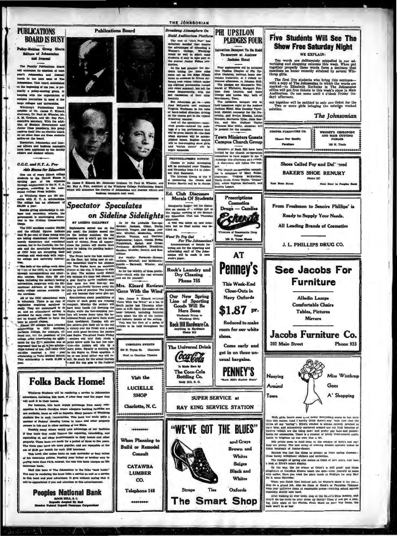